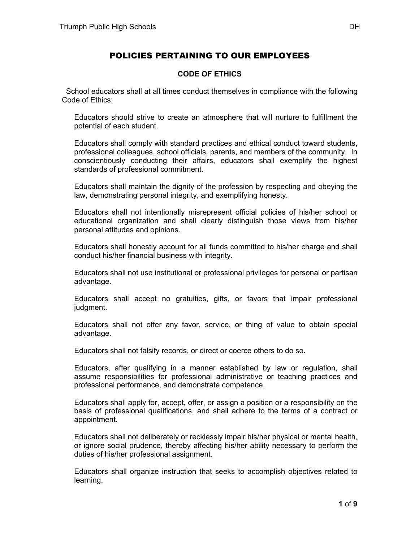## POLICIES PERTAINING TO OUR EMPLOYEES

## **CODE OF ETHICS**

 School educators shall at all times conduct themselves in compliance with the following Code of Ethics:

Educators should strive to create an atmosphere that will nurture to fulfillment the potential of each student.

Educators shall comply with standard practices and ethical conduct toward students, professional colleagues, school officials, parents, and members of the community. In conscientiously conducting their affairs, educators shall exemplify the highest standards of professional commitment.

Educators shall maintain the dignity of the profession by respecting and obeying the law, demonstrating personal integrity, and exemplifying honesty.

Educators shall not intentionally misrepresent official policies of his/her school or educational organization and shall clearly distinguish those views from his/her personal attitudes and opinions.

Educators shall honestly account for all funds committed to his/her charge and shall conduct his/her financial business with integrity.

Educators shall not use institutional or professional privileges for personal or partisan advantage.

Educators shall accept no gratuities, gifts, or favors that impair professional judgment.

Educators shall not offer any favor, service, or thing of value to obtain special advantage.

Educators shall not falsify records, or direct or coerce others to do so.

Educators, after qualifying in a manner established by law or regulation, shall assume responsibilities for professional administrative or teaching practices and professional performance, and demonstrate competence.

Educators shall apply for, accept, offer, or assign a position or a responsibility on the basis of professional qualifications, and shall adhere to the terms of a contract or appointment.

Educators shall not deliberately or recklessly impair his/her physical or mental health, or ignore social prudence, thereby affecting his/her ability necessary to perform the duties of his/her professional assignment.

Educators shall organize instruction that seeks to accomplish objectives related to learning.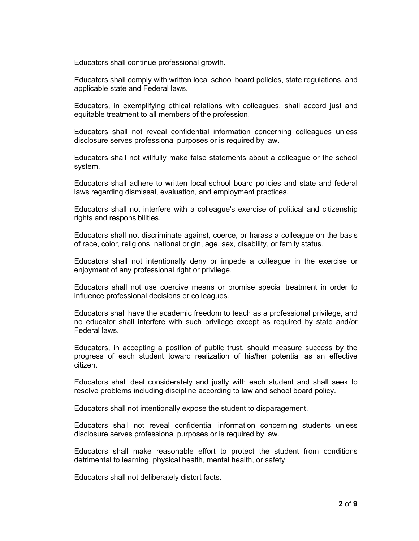Educators shall continue professional growth.

Educators shall comply with written local school board policies, state regulations, and applicable state and Federal laws.

Educators, in exemplifying ethical relations with colleagues, shall accord just and equitable treatment to all members of the profession.

Educators shall not reveal confidential information concerning colleagues unless disclosure serves professional purposes or is required by law.

Educators shall not willfully make false statements about a colleague or the school system.

Educators shall adhere to written local school board policies and state and federal laws regarding dismissal, evaluation, and employment practices.

Educators shall not interfere with a colleague's exercise of political and citizenship rights and responsibilities.

Educators shall not discriminate against, coerce, or harass a colleague on the basis of race, color, religions, national origin, age, sex, disability, or family status.

Educators shall not intentionally deny or impede a colleague in the exercise or enjoyment of any professional right or privilege.

Educators shall not use coercive means or promise special treatment in order to influence professional decisions or colleagues.

Educators shall have the academic freedom to teach as a professional privilege, and no educator shall interfere with such privilege except as required by state and/or Federal laws.

Educators, in accepting a position of public trust, should measure success by the progress of each student toward realization of his/her potential as an effective citizen.

Educators shall deal considerately and justly with each student and shall seek to resolve problems including discipline according to law and school board policy.

Educators shall not intentionally expose the student to disparagement.

Educators shall not reveal confidential information concerning students unless disclosure serves professional purposes or is required by law.

Educators shall make reasonable effort to protect the student from conditions detrimental to learning, physical health, mental health, or safety.

Educators shall not deliberately distort facts.